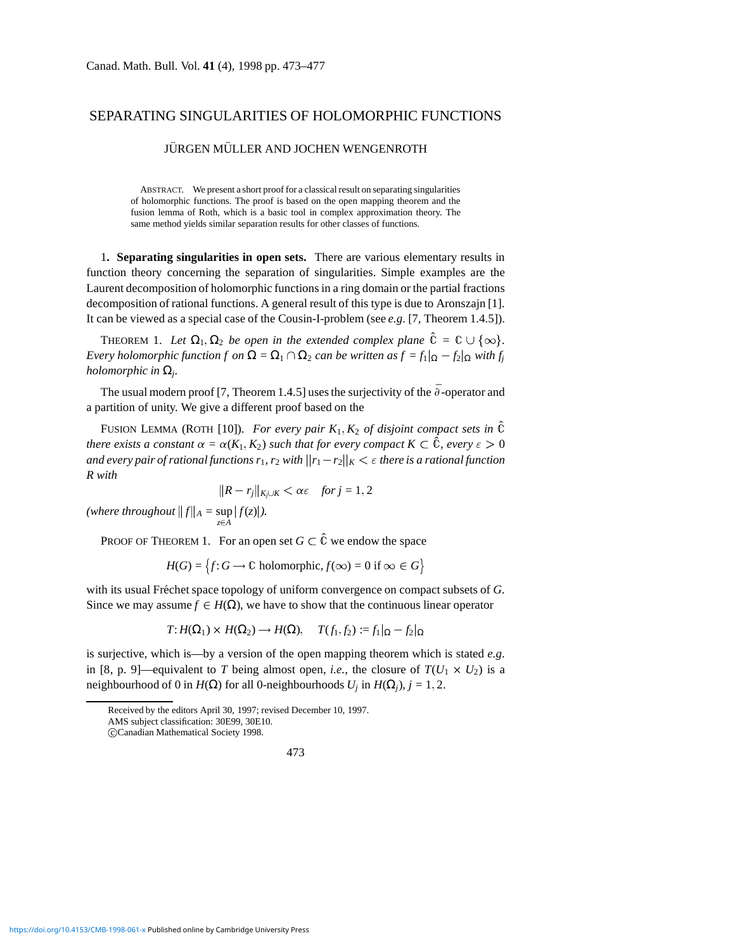## SEPARATING SINGULARITIES OF HOLOMORPHIC FUNCTIONS

## **JURGEN MÜLLER AND JOCHEN WENGENROTH**

ABSTRACT. We present a short proof for a classical result on separating singularities of holomorphic functions. The proof is based on the open mapping theorem and the fusion lemma of Roth, which is a basic tool in complex approximation theory. The same method yields similar separation results for other classes of functions.

1**. Separating singularities in open sets.** There are various elementary results in function theory concerning the separation of singularities. Simple examples are the Laurent decomposition of holomorphic functions in a ring domain or the partial fractions decomposition of rational functions. A general result of this type is due to Aronszajn [1]. It can be viewed as a special case of the Cousin-I-problem (see *e.g*. [7, Theorem 1.4.5]).

THEOREM 1. Let  $\Omega_1, \Omega_2$  be open in the extended complex plane  $\hat{\mathbb{C}} = \mathbb{C} \cup \{\infty\}$ . *Every holomorphic function f on*  $\Omega = \Omega_1 \cap \Omega_2$  *can be written as*  $f = f_1|_{\Omega} - f_2|_{\Omega}$  *with*  $f_i$ *holomorphic in*  $\Omega_i$ .

The usual modern proof [7, Theorem 1.4.5] uses the surjectivity of the  $\bar{\partial}$ -operator and a partition of unity. We give a different proof based on the

FUSION LEMMA (ROTH [10]). *For every pair*  $K_1$ ,  $K_2$  *of disjoint compact sets in*  $\hat{C}$ *there exists a constant*  $\alpha = \alpha(K_1, K_2)$  *such that for every compact*  $K \subset \hat{\mathbb{C}}$ *, every*  $\epsilon > 0$ *and every pair of rational functions*  $r_1$ *,*  $r_2$  *with*  $||r_1 - r_2||_K < \varepsilon$  *there is a rational function R with*

$$
||R - r_j||_{K_j \cup K} < \alpha \varepsilon \quad \text{for } j = 1, 2
$$

*(where throughout*  $||f||_A = \sup_{z \in A} |f(z)|$ *).* 

PROOF OF THEOREM 1. For an open set  $G \subset \hat{C}$  we endow the space

$$
H(G) = \{f: G \to \mathbb{C} \text{ holomorphic}, f(\infty) = 0 \text{ if } \infty \in G\}
$$

with its usual Frechet space topology of uniform convergence on compact subsets of G. Since we may assume  $f \in H(\Omega)$ , we have to show that the continuous linear operator

$$
T: H(\Omega_1) \times H(\Omega_2) \to H(\Omega), \quad T(f_1, f_2) := f_1|_{\Omega} - f_2|_{\Omega}
$$

is surjective, which is—by a version of the open mapping theorem which is stated *e.g*. in [8, p. 9]—equivalent to *T* being almost open, *i.e.*, the closure of  $T(U_1 \times U_2)$  is a neighbourhood of 0 in *H*( $\Omega$ ) for all 0-neighbourhoods *U<sub>j</sub>* in *H*( $\Omega$ <sub>*j*</sub>), *j* = 1, 2.

473

Received by the editors April 30, 1997; revised December 10, 1997. AMS subject classification: 30E99, 30E10.

c Canadian Mathematical Society 1998.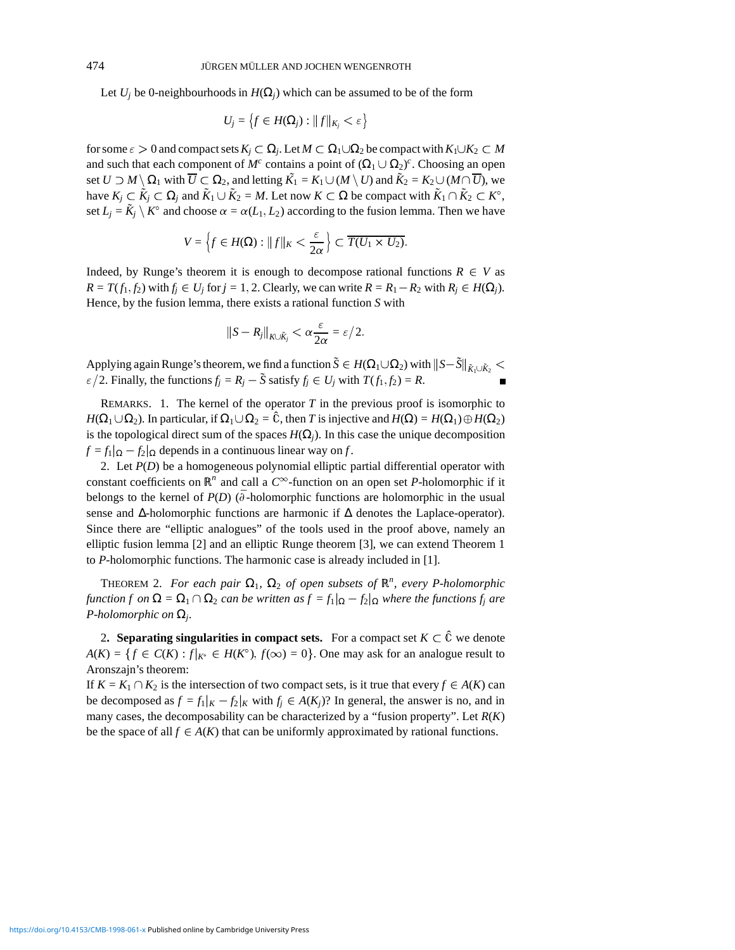Let  $U_i$  be 0-neighbourhoods in  $H(\Omega_i)$  which can be assumed to be of the form

$$
U_j = \left\{ f \in H(\Omega_j) : ||f||_{K_j} < \varepsilon \right\}
$$

for some  $\varepsilon > 0$  and compact sets  $K_i \subset \Omega_i$ . Let  $M \subset \Omega_1 \cup \Omega_2$  be compact with  $K_1 \cup K_2 \subset M$ and such that each component of  $M^c$  contains a point of  $(\Omega_1 \cup \Omega_2)^c$ . Choosing an open set  $U \supset M \setminus \Omega_1$  with  $\overline{U} \subset \Omega_2$ , and letting  $\tilde{K_1} = K_1 \cup (M \setminus U)$  and  $\tilde{K_2} = K_2 \cup (M \cap \overline{U})$ , we have  $K_i \subset \tilde{K}_i \subset \Omega_i$  and  $\tilde{K}_1 \cup \tilde{K}_2 = M$ . Let now  $K \subset \Omega$  be compact with  $\tilde{K}_1 \cap \tilde{K}_2 \subset K^{\circ}$ , set  $L_i = \tilde{K}_i \setminus K^{\circ}$  and choose  $\alpha = \alpha(L_1, L_2)$  according to the fusion lemma. Then we have

$$
V = \left\{ f \in H(\Omega) : ||f||_K < \frac{\varepsilon}{2\alpha} \right\} \subset \overline{T(U_1 \times U_2)}.
$$

Indeed, by Runge's theorem it is enough to decompose rational functions  $R \in V$  as  $R = T(f_1, f_2)$  with  $f_i \in U_i$  for  $j = 1, 2$ . Clearly, we can write  $R = R_1 - R_2$  with  $R_i \in H(\Omega_i)$ . Hence, by the fusion lemma, there exists a rational function *S* with

$$
||S - R_j||_{K \cup \tilde{K}_j} < \alpha \frac{\varepsilon}{2\alpha} = \varepsilon/2.
$$

Applying again Runge's theorem, we find a function  $\tilde{S} \in H(\Omega_1 \cup \Omega_2)$  with  $||S-\tilde{S}||_{\tilde{K}_1 \cup \tilde{K}_2}$  $\epsilon/2$ . Finally, the functions  $f_j = R_j - \tilde{S}$  satisfy  $f_j \in U_j$  with  $T(f_1, f_2) = R$ .

REMARKS. 1. The kernel of the operator  $T$  in the previous proof is isomorphic to  $H(\Omega_1 \cup \Omega_2)$ . In particular, if  $\Omega_1 \cup \Omega_2 = \hat{\mathbb{C}}$ , then *T* is injective and  $H(\Omega) = H(\Omega_1) \oplus H(\Omega_2)$ is the topological direct sum of the spaces  $H(\Omega_i)$ . In this case the unique decomposition  $f = f_1|_{\Omega} - f_2|_{\Omega}$  depends in a continuous linear way on *f*.

2. Let *P*(*D*) be a homogeneous polynomial elliptic partial differential operator with constant coefficients on  $\mathbb{R}^n$  and call a  $C^\infty$ -function on an open set *P*-holomorphic if it belongs to the kernel of  $P(D)$  ( $\overline{\partial}$ -holomorphic functions are holomorphic in the usual sense and ∆-holomorphic functions are harmonic if ∆ denotes the Laplace-operator). Since there are "elliptic analogues" of the tools used in the proof above, namely an elliptic fusion lemma [2] and an elliptic Runge theorem [3], we can extend Theorem 1 to *P*-holomorphic functions. The harmonic case is already included in [1].

THEOREM 2. For each pair  $\Omega_1$ ,  $\Omega_2$  of open subsets of  $\mathbb{R}^n$ , every P-holomorphic *function f on*  $\Omega = \Omega_1 \cap \Omega_2$  *can be written as*  $f = f_1|_{\Omega} - f_2|_{\Omega}$  *where the functions*  $f_i$  *are P-holomorphic on* Ω*j.*

2. **Separating singularities in compact sets.** For a compact set  $K \subset \hat{C}$  we denote  $A(K) = \{f \in C(K) : f|_{K^{\circ}} \in H(K^{\circ}), f(\infty) = 0\}$ . One may ask for an analogue result to Aronszajn's theorem:

If  $K = K_1 \cap K_2$  is the intersection of two compact sets, is it true that every  $f \in A(K)$  can be decomposed as  $f = f_1|_K - f_2|_K$  with  $f_i \in A(K_i)$ ? In general, the answer is no, and in many cases, the decomposability can be characterized by a "fusion property". Let *R*(*K*) be the space of all  $f \in A(K)$  that can be uniformly approximated by rational functions.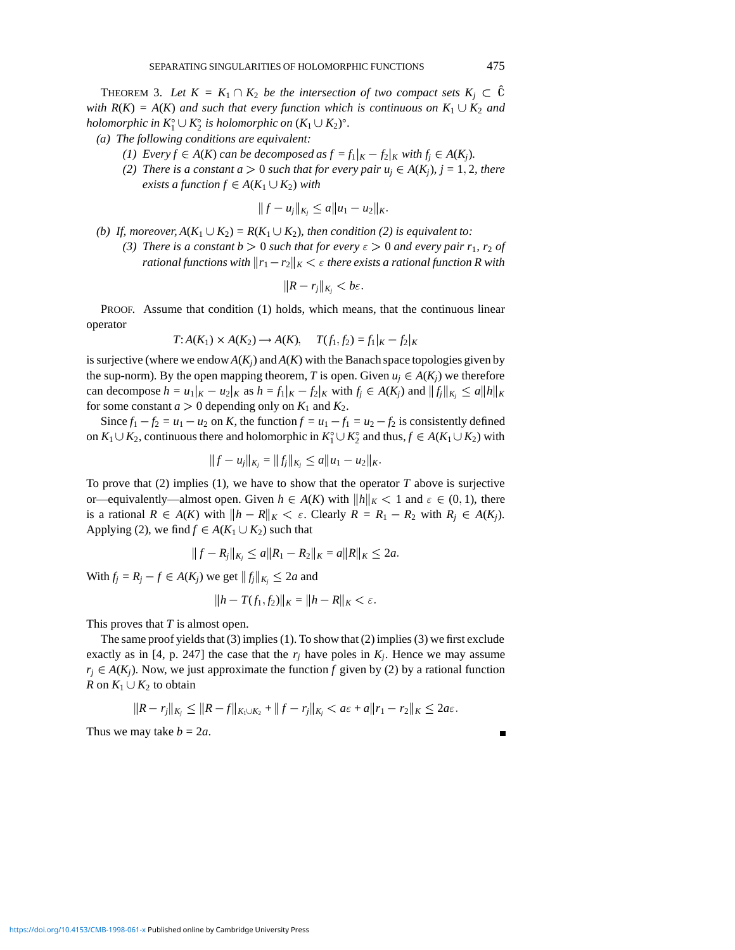THEOREM 3. Let  $K = K_1 \cap K_2$  be the intersection of two compact sets  $K_i \subset \hat{C}$ *with*  $R(K) = A(K)$  *and such that every function which is continuous on*  $K_1 \cup K_2$  *and holomorphic in*  $K_1^{\circ} \cup K_2^{\circ}$  *is holomorphic on*  $(K_1 \cup K_2)^{\circ}$ *.* 

- *(a) The following conditions are equivalent:*
	- *(1) Every*  $f \in A(K)$  *can be decomposed as*  $f = f_1|_K f_2|_K$  *with*  $f_i \in A(K_i)$ *.*
	- *(2) There is a constant a*  $> 0$  *such that for every pair u<sub>i</sub>*  $\in$  *A*( $K$ <sub>*j*</sub>)*, j* = 1*,* 2*, there exists a function*  $f \in A(K_1 \cup K_2)$  *with*

$$
||f - u_j||_{K_j} \le a||u_1 - u_2||_K.
$$

- *(b)* If, moreover,  $A(K_1 \cup K_2) = R(K_1 \cup K_2)$ , then condition (2) is equivalent to:
	- *(3) There is a constant b*  $> 0$  *such that for every*  $\epsilon > 0$  *and every pair r*<sub>1</sub>*, r*<sub>2</sub> *of rational functions with*  $||r_1 - r_2||_K < \varepsilon$  *there exists a rational function R with*

$$
||R - r_j||_{K_j} < b\varepsilon.
$$

PROOF. Assume that condition (1) holds, which means, that the continuous linear operator

$$
T: A(K_1) \times A(K_2) \to A(K), \quad T(f_1, f_2) = f_1|_K - f_2|_K
$$

is surjective (where we endow  $A(K<sub>i</sub>)$ ) and  $A(K)$  with the Banach space topologies given by the sup-norm). By the open mapping theorem, *T* is open. Given  $u_j \in A(K_i)$  we therefore can decompose  $h = u_1|_K - u_2|_K$  as  $h = f_1|_K - f_2|_K$  with  $f_i \in A(K_i)$  and  $||f_i||_{K_i} \le a||h||_K$ for some constant  $a > 0$  depending only on  $K_1$  and  $K_2$ .

Since  $f_1 - f_2 = u_1 - u_2$  on *K*, the function  $f = u_1 - f_1 = u_2 - f_2$  is consistently defined on  $K_1 \cup K_2$ , continuous there and holomorphic in  $K_1^{\circ} \cup K_2^{\circ}$  and thus,  $f \in A(K_1 \cup K_2)$  with

$$
||f - u_j||_{K_j} = ||f_j||_{K_j} \le a||u_1 - u_2||_K.
$$

To prove that (2) implies (1), we have to show that the operator *T* above is surjective or—equivalently—almost open. Given  $h \in A(K)$  with  $\|h\|_K < 1$  and  $\varepsilon \in (0,1)$ , there is a rational  $R \in A(K)$  with  $\|h - R\|_K < \varepsilon$ . Clearly  $R = R_1 - R_2$  with  $R_i \in A(K_i)$ . Applying (2), we find  $f \in A(K_1 \cup K_2)$  such that

$$
||f - R_j||_{K_j} \le a||R_1 - R_2||_K = a||R||_K \le 2a.
$$

With  $f_i = R_i - f \in A(K_i)$  we get  $||f_i||_{K_i} \le 2a$  and

$$
||h - T(f_1, f_2)||_K = ||h - R||_K < \varepsilon.
$$

This proves that *T* is almost open.

The same proof yields that (3) implies (1). To show that (2) implies (3) we first exclude exactly as in [4, p. 247] the case that the  $r_j$  have poles in  $K_j$ . Hence we may assume  $r_j \in A(K_j)$ . Now, we just approximate the function *f* given by (2) by a rational function *R* on  $K_1 \cup K_2$  to obtain

$$
||R - r_j||_{K_j} \leq ||R - f||_{K_1 \cup K_2} + ||f - r_j||_{K_j} < a\varepsilon + a||r_1 - r_2||_K \leq 2a\varepsilon.
$$

Thus we may take  $b = 2a$ .

 $\blacksquare$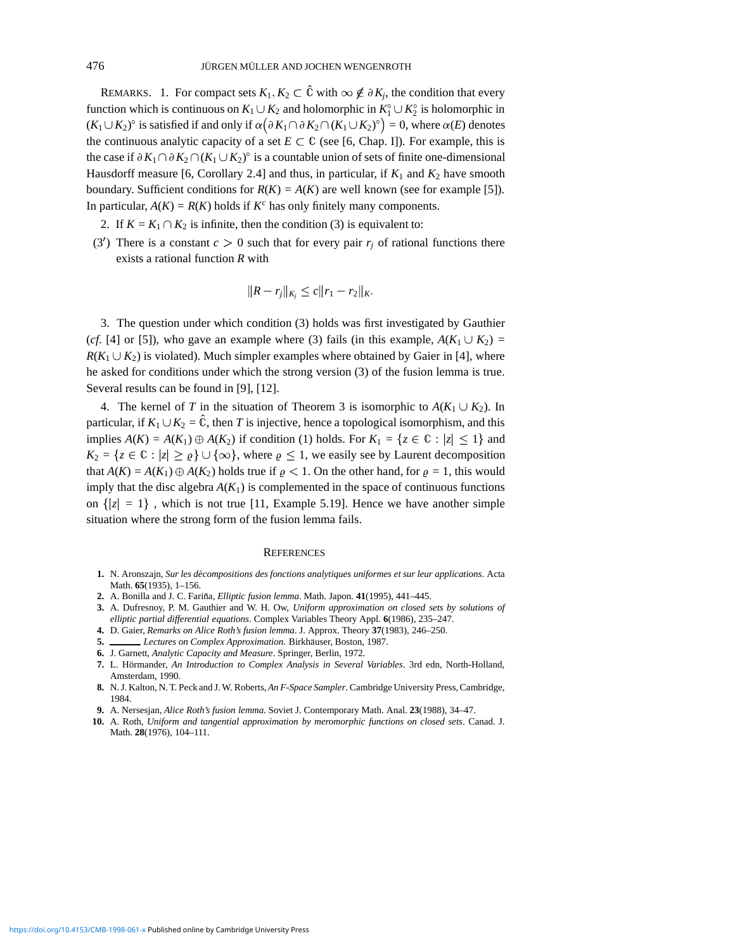REMARKS. 1. For compact sets  $K_1, K_2 \subset \hat{\mathbb{C}}$  with  $\infty \notin \partial K_i$ , the condition that every function which is continuous on  $K_1 \cup K_2$  and holomorphic in  $K_1^{\circ} \cup K_2^{\circ}$  is holomorphic in  $(K_1 \cup K_2)^\circ$  is satisfied if and only if  $\alpha(\partial K_1 \cap \partial K_2 \cap (K_1 \cup K_2)^\circ) = 0$ , where  $\alpha(E)$  denotes the continuous analytic capacity of a set  $E \subset \mathbb{C}$  (see [6, Chap. I]). For example, this is the case if  $\partial K_1 \cap \partial K_2 \cap (K_1 \cup K_2)$ <sup>o</sup> is a countable union of sets of finite one-dimensional Hausdorff measure [6, Corollary 2.4] and thus, in particular, if  $K_1$  and  $K_2$  have smooth boundary. Sufficient conditions for  $R(K) = A(K)$  are well known (see for example [5]). In particular,  $A(K) = R(K)$  holds if  $K^c$  has only finitely many components.

- 2. If  $K = K_1 \cap K_2$  is infinite, then the condition (3) is equivalent to:
- (3<sup>'</sup>) There is a constant  $c > 0$  such that for every pair  $r_j$  of rational functions there exists a rational function *R* with

$$
||R - r_j||_{K_j} \leq c||r_1 - r_2||_K.
$$

3. The question under which condition (3) holds was first investigated by Gauthier (*cf*. [4] or [5]), who gave an example where (3) fails (in this example,  $A(K_1 \cup K_2) =$  $R(K_1 \cup K_2)$  is violated). Much simpler examples where obtained by Gaier in [4], where he asked for conditions under which the strong version (3) of the fusion lemma is true. Several results can be found in [9], [12].

4. The kernel of *T* in the situation of Theorem 3 is isomorphic to  $A(K_1 \cup K_2)$ . In particular, if  $K_1 \cup K_2 = \hat{C}$ , then *T* is injective, hence a topological isomorphism, and this implies  $A(K) = A(K_1) \oplus A(K_2)$  if condition (1) holds. For  $K_1 = \{z \in \mathbb{C} : |z| \leq 1\}$  and  $K_2 = \{z \in \mathbb{C} : |z| \ge \varrho\} \cup \{\infty\}$ , where  $\varrho \le 1$ , we easily see by Laurent decomposition that  $A(K) = A(K_1) \oplus A(K_2)$  holds true if  $\rho < 1$ . On the other hand, for  $\rho = 1$ , this would imply that the disc algebra  $A(K_1)$  is complemented in the space of continuous functions on  $\{|z| = 1\}$ , which is not true [11, Example 5.19]. Hence we have another simple situation where the strong form of the fusion lemma fails.

## **REFERENCES**

- **1.** N. Aronszajn, *Sur les d´ecompositions des fonctions analytiques uniformes et sur leur applications*. Acta Math. **65**(1935), 1–156.
- 2. A. Bonilla and J. C. Fariña, *Elliptic fusion lemma*. Math. Japon. 41(1995), 441–445.
- **3.** A. Dufresnoy, P. M. Gauthier and W. H. Ow, *Uniform approximation on closed sets by solutions of elliptic partial differential equations*. Complex Variables Theory Appl. **6**(1986), 235–247.
- **4.** D. Gaier, *Remarks on Alice Roth's fusion lemma*. J. Approx. Theory **37**(1983), 246–250.
- 5. Lectures on Complex Approximation. Birkhäuser, Boston, 1987.
- **6.** J. Garnett, *Analytic Capacity and Measure*. Springer, Berlin, 1972.
- 7. L. Hörmander, *An Introduction to Complex Analysis in Several Variables*. 3rd edn, North-Holland, Amsterdam, 1990.
- **8.** N. J. Kalton, N. T. Peck and J. W. Roberts, *An F-Space Sampler*. Cambridge University Press, Cambridge, 1984.
- **9.** A. Nersesjan, *Alice Roth's fusion lemma*. Soviet J. Contemporary Math. Anal. **23**(1988), 34–47.
- **10.** A. Roth, *Uniform and tangential approximation by meromorphic functions on closed sets*. Canad. J. Math. **28**(1976), 104–111.